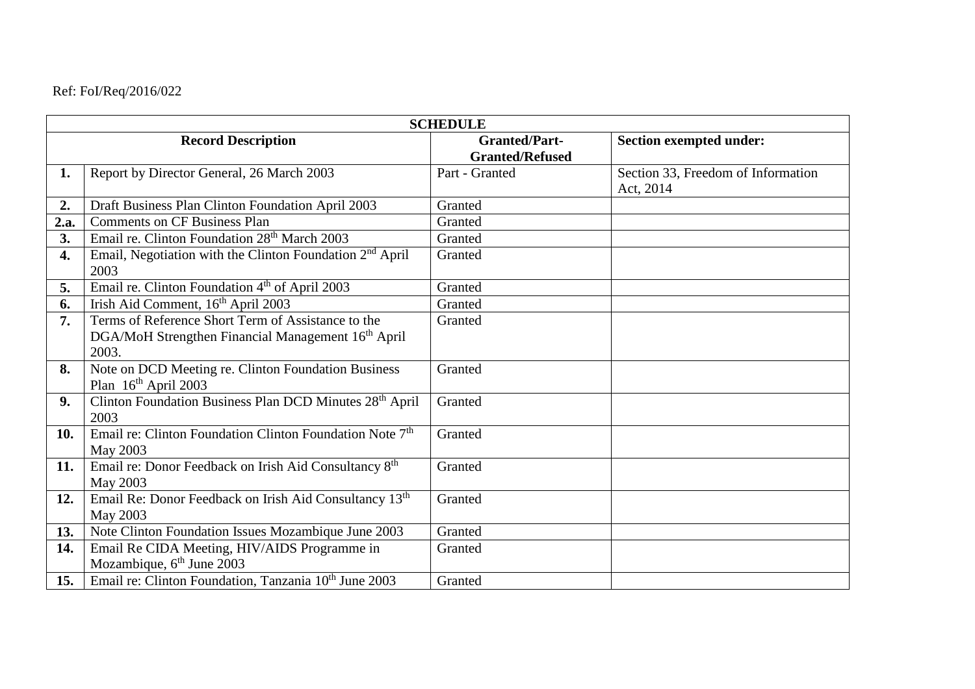## Ref: FoI/Req/2016/022

| <b>SCHEDULE</b>           |                                                                                                                               |                                                |                                                 |  |
|---------------------------|-------------------------------------------------------------------------------------------------------------------------------|------------------------------------------------|-------------------------------------------------|--|
| <b>Record Description</b> |                                                                                                                               | <b>Granted/Part-</b><br><b>Granted/Refused</b> | <b>Section exempted under:</b>                  |  |
| 1.                        | Report by Director General, 26 March 2003                                                                                     | Part - Granted                                 | Section 33, Freedom of Information<br>Act, 2014 |  |
| 2.                        | Draft Business Plan Clinton Foundation April 2003                                                                             | Granted                                        |                                                 |  |
| 2.a.                      | <b>Comments on CF Business Plan</b>                                                                                           | Granted                                        |                                                 |  |
| 3.                        | Email re. Clinton Foundation 28 <sup>th</sup> March 2003                                                                      | Granted                                        |                                                 |  |
| 4.                        | Email, Negotiation with the Clinton Foundation 2 <sup>nd</sup> April<br>2003                                                  | Granted                                        |                                                 |  |
| 5.                        | Email re. Clinton Foundation 4 <sup>th</sup> of April 2003                                                                    | Granted                                        |                                                 |  |
| 6.                        | Irish Aid Comment, 16 <sup>th</sup> April 2003                                                                                | Granted                                        |                                                 |  |
| 7.                        | Terms of Reference Short Term of Assistance to the<br>DGA/MoH Strengthen Financial Management 16 <sup>th</sup> April<br>2003. | Granted                                        |                                                 |  |
| 8.                        | Note on DCD Meeting re. Clinton Foundation Business<br>Plan 16 <sup>th</sup> April 2003                                       | Granted                                        |                                                 |  |
| 9.                        | Clinton Foundation Business Plan DCD Minutes 28 <sup>th</sup> April<br>2003                                                   | Granted                                        |                                                 |  |
| 10.                       | Email re: Clinton Foundation Clinton Foundation Note 7 <sup>th</sup><br>May 2003                                              | Granted                                        |                                                 |  |
| 11.                       | Email re: Donor Feedback on Irish Aid Consultancy 8 <sup>th</sup><br>May 2003                                                 | Granted                                        |                                                 |  |
| 12.                       | Email Re: Donor Feedback on Irish Aid Consultancy 13th<br>May 2003                                                            | Granted                                        |                                                 |  |
| 13.                       | Note Clinton Foundation Issues Mozambique June 2003                                                                           | Granted                                        |                                                 |  |
| 14.                       | Email Re CIDA Meeting, HIV/AIDS Programme in<br>Mozambique, 6 <sup>th</sup> June 2003                                         | Granted                                        |                                                 |  |
| 15.                       | Email re: Clinton Foundation, Tanzania 10th June 2003                                                                         | Granted                                        |                                                 |  |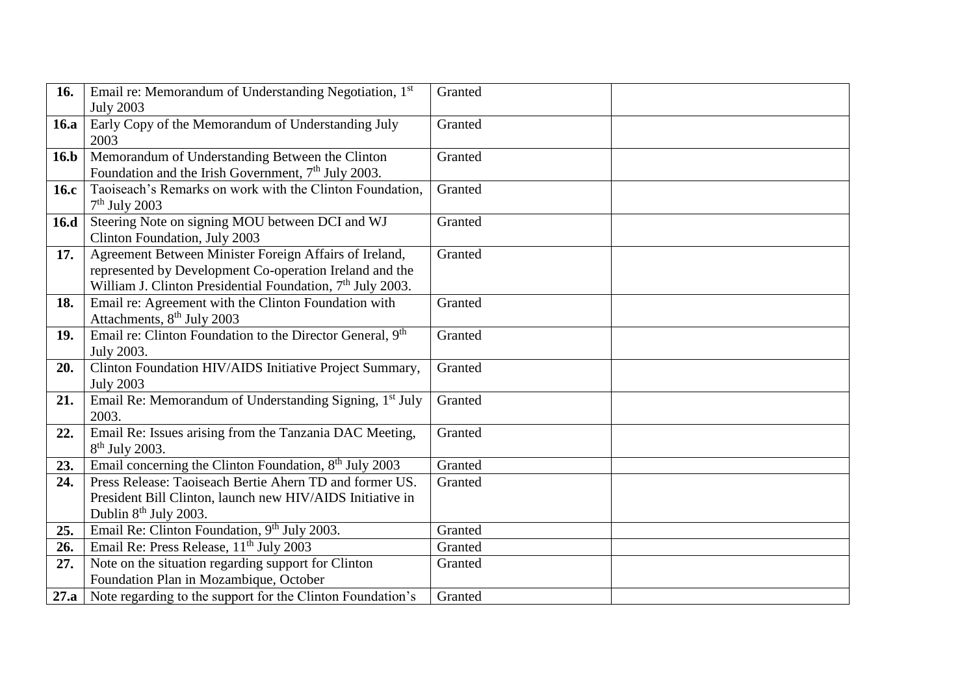| 16.         | Email re: Memorandum of Understanding Negotiation, 1st                 | Granted |
|-------------|------------------------------------------------------------------------|---------|
|             | <b>July 2003</b>                                                       |         |
| <b>16.a</b> | Early Copy of the Memorandum of Understanding July                     | Granted |
|             | 2003                                                                   |         |
| 16.b        | Memorandum of Understanding Between the Clinton                        | Granted |
|             | Foundation and the Irish Government, $7th$ July 2003.                  |         |
| 16.c        | Taoiseach's Remarks on work with the Clinton Foundation,               | Granted |
|             | $7th$ July 2003                                                        |         |
| 16.d        | Steering Note on signing MOU between DCI and WJ                        | Granted |
|             | Clinton Foundation, July 2003                                          |         |
| 17.         | Agreement Between Minister Foreign Affairs of Ireland,                 | Granted |
|             | represented by Development Co-operation Ireland and the                |         |
|             | William J. Clinton Presidential Foundation, 7 <sup>th</sup> July 2003. |         |
| 18.         | Email re: Agreement with the Clinton Foundation with                   | Granted |
|             | Attachments, 8 <sup>th</sup> July 2003                                 |         |
| 19.         | Email re: Clinton Foundation to the Director General, 9th              | Granted |
|             | July 2003.                                                             |         |
| 20.         | Clinton Foundation HIV/AIDS Initiative Project Summary,                | Granted |
|             | <b>July 2003</b>                                                       |         |
| 21.         | Email Re: Memorandum of Understanding Signing, 1 <sup>st</sup> July    | Granted |
|             | 2003.                                                                  |         |
| 22.         | Email Re: Issues arising from the Tanzania DAC Meeting,                | Granted |
|             | $8th$ July 2003.                                                       |         |
| 23.         | Email concerning the Clinton Foundation, 8 <sup>th</sup> July 2003     | Granted |
| 24.         | Press Release: Taoiseach Bertie Ahern TD and former US.                | Granted |
|             | President Bill Clinton, launch new HIV/AIDS Initiative in              |         |
|             | Dublin 8 <sup>th</sup> July 2003.                                      |         |
| 25.         | Email Re: Clinton Foundation, 9 <sup>th</sup> July 2003.               | Granted |
| 26.         | Email Re: Press Release, 11 <sup>th</sup> July 2003                    | Granted |
| 27.         | Note on the situation regarding support for Clinton                    | Granted |
|             | Foundation Plan in Mozambique, October                                 |         |
|             | 27.a Note regarding to the support for the Clinton Foundation's        | Granted |